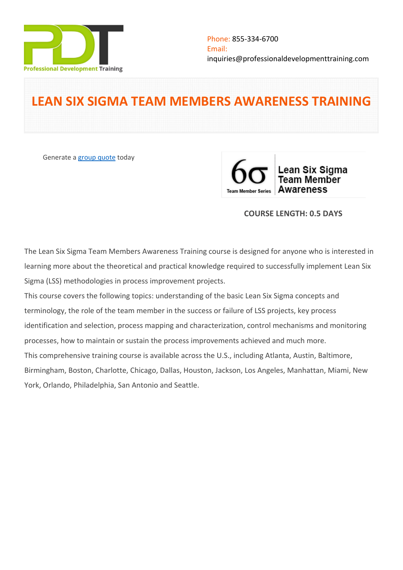

# **LEAN SIX SIGMA TEAM MEMBERS AWARENESS TRAINING**

Generate a [group quote](https://professionaldevelopmenttraining.com/inhouse-training-quote?cse=PDT0170) today



# **COURSE LENGTH: 0.5 DAYS**

The Lean Six Sigma Team Members Awareness Training course is designed for anyone who is interested in learning more about the theoretical and practical knowledge required to successfully implement Lean Six Sigma (LSS) methodologies in process improvement projects.

This course covers the following topics: understanding of the basic Lean Six Sigma concepts and terminology, the role of the team member in the success or failure of LSS projects, key process identification and selection, process mapping and characterization, control mechanisms and monitoring processes, how to maintain or sustain the process improvements achieved and much more. This comprehensive training course is available across the U.S., including Atlanta, Austin, Baltimore, Birmingham, Boston, Charlotte, Chicago, Dallas, Houston, Jackson, Los Angeles, Manhattan, Miami, New York, Orlando, Philadelphia, San Antonio and Seattle.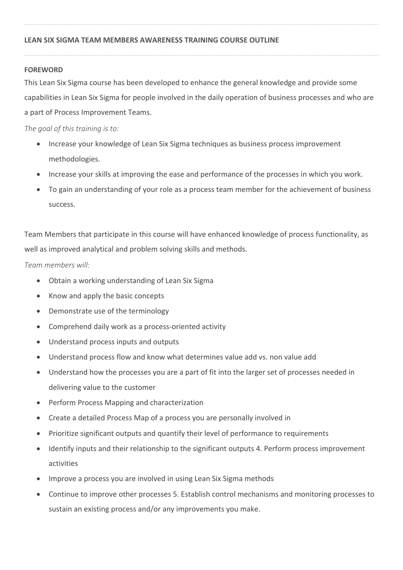## **FOREWORD**

This Lean Six Sigma course has been developed to enhance the general knowledge and provide some capabilities in Lean Six Sigma for people involved in the daily operation of business processes and who are a part of Process Improvement Teams.

*The goal of this training is to:*

- Increase your knowledge of Lean Six Sigma techniques as business process improvement methodologies.
- Increase your skills at improving the ease and performance of the processes in which you work.
- To gain an understanding of your role as a process team member for the achievement of business success.

Team Members that participate in this course will have enhanced knowledge of process functionality, as well as improved analytical and problem solving skills and methods.

*Team members will:*

- Obtain a working understanding of Lean Six Sigma
- Know and apply the basic concepts
- Demonstrate use of the terminology
- Comprehend daily work as a process-oriented activity
- Understand process inputs and outputs
- Understand process flow and know what determines value add vs. non value add
- Understand how the processes you are a part of fit into the larger set of processes needed in delivering value to the customer
- Perform Process Mapping and characterization
- Create a detailed Process Map of a process you are personally involved in
- Prioritize significant outputs and quantify their level of performance to requirements
- Identify inputs and their relationship to the significant outputs 4. Perform process improvement activities
- Improve a process you are involved in using Lean Six Sigma methods
- Continue to improve other processes 5. Establish control mechanisms and monitoring processes to sustain an existing process and/or any improvements you make.